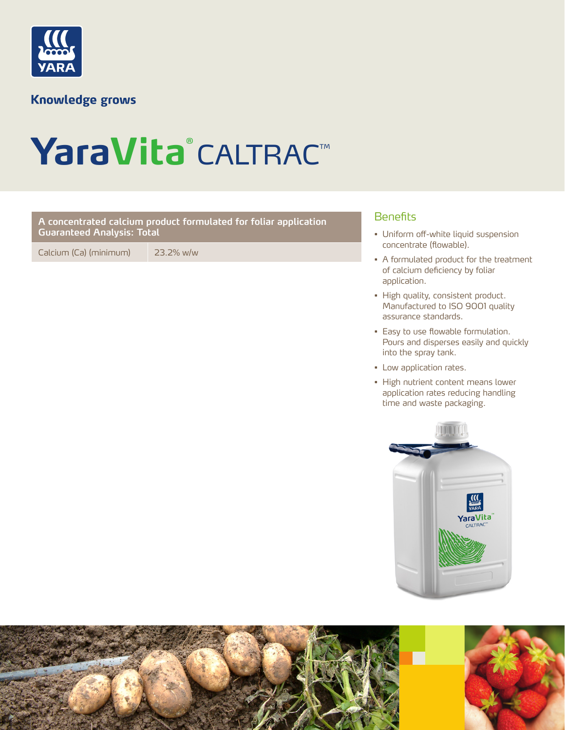

**Knowledge grows** 

# YaraVita®CALTRAC™

### Benefits **A concentrated calcium product formulated for foliar application Guaranteed Analysis: Total**

Calcium (Ca) (minimum) 23.2% w/w

- Uniform off-white liquid suspension concentrate (flowable).
- A formulated product for the treatment of calcium deficiency by foliar application.
- High quality, consistent product. Manufactured to ISO 9001 quality assurance standards.
- Easy to use flowable formulation. Pours and disperses easily and quickly into the spray tank.
- Low application rates.
- High nutrient content means lower application rates reducing handling time and waste packaging.



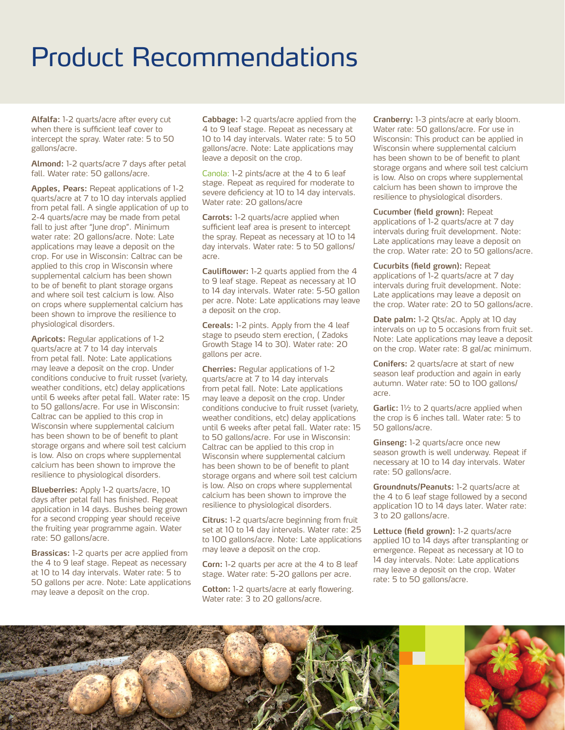## Product Recommendations

**Alfalfa:** 1-2 quarts/acre after every cut when there is sufficient leaf cover to intercept the spray. Water rate: 5 to 50 gallons/acre.

**Almond:** 1-2 quarts/acre 7 days after petal fall. Water rate: 50 gallons/acre.

**Apples, Pears:** Repeat applications of 1-2 quarts/acre at 7 to 10 day intervals applied from petal fall. A single application of up to 2-4 quarts/acre may be made from petal fall to just after "June drop". Minimum water rate: 20 gallons/acre. Note: Late applications may leave a deposit on the crop. For use in Wisconsin: Caltrac can be applied to this crop in Wisconsin where supplemental calcium has been shown to be of benefit to plant storage organs and where soil test calcium is low. Also on crops where supplemental calcium has been shown to improve the resilience to physiological disorders.

**Apricots:** Regular applications of 1-2 quarts/acre at 7 to 14 day intervals from petal fall. Note: Late applications may leave a deposit on the crop. Under conditions conducive to fruit russet (variety, weather conditions, etc) delay applications until 6 weeks after petal fall. Water rate: 15 to 50 gallons/acre. For use in Wisconsin: Caltrac can be applied to this crop in Wisconsin where supplemental calcium has been shown to be of benefit to plant storage organs and where soil test calcium is low. Also on crops where supplemental calcium has been shown to improve the resilience to physiological disorders.

**Blueberries:** Apply 1-2 quarts/acre, 10 days after petal fall has finished. Repeat application in 14 days. Bushes being grown for a second cropping year should receive the fruiting year programme again. Water rate: 50 gallons/acre.

**Brassicas:** 1-2 quarts per acre applied from the 4 to 9 leaf stage. Repeat as necessary at 10 to 14 day intervals. Water rate: 5 to 50 gallons per acre. Note: Late applications may leave a deposit on the crop.

**Cabbage:** 1-2 quarts/acre applied from the 4 to 9 leaf stage. Repeat as necessary at 10 to 14 day intervals. Water rate: 5 to 50 gallons/acre. Note: Late applications may leave a deposit on the crop.

Canola: 1-2 pints/acre at the 4 to 6 leaf stage. Repeat as required for moderate to severe deficiency at 10 to 14 day intervals. Water rate: 20 gallons/acre

**Carrots:** 1-2 quarts/acre applied when sufficient leaf area is present to intercept the spray. Repeat as necessary at 10 to 14 day intervals. Water rate: 5 to 50 gallons/ acre.

**Cauliflower:** 1-2 quarts applied from the 4 to 9 leaf stage. Repeat as necessary at 10 to 14 day intervals. Water rate: 5-50 gallon per acre. Note: Late applications may leave a deposit on the crop.

**Cereals:** 1-2 pints. Apply from the 4 leaf stage to pseudo stem erection, ( Zadoks Growth Stage 14 to 30). Water rate: 20 gallons per acre.

**Cherries:** Regular applications of 1-2 quarts/acre at 7 to 14 day intervals from petal fall. Note: Late applications may leave a deposit on the crop. Under conditions conducive to fruit russet (variety, weather conditions, etc) delay applications until 6 weeks after petal fall. Water rate: 15 to 50 gallons/acre. For use in Wisconsin: Caltrac can be applied to this crop in Wisconsin where supplemental calcium has been shown to be of benefit to plant storage organs and where soil test calcium is low. Also on crops where supplemental calcium has been shown to improve the resilience to physiological disorders.

**Citrus:** 1-2 quarts/acre beginning from fruit set at 10 to 14 day intervals. Water rate: 25 to 100 gallons/acre. Note: Late applications may leave a deposit on the crop.

**Corn:** 1-2 quarts per acre at the 4 to 8 leaf stage. Water rate: 5-20 gallons per acre.

**Cotton:** 1-2 quarts/acre at early flowering. Water rate: 3 to 20 gallons/acre.

**Cranberry:** 1-3 pints/acre at early bloom. Water rate: 50 gallons/acre. For use in Wisconsin: This product can be applied in Wisconsin where supplemental calcium has been shown to be of benefit to plant storage organs and where soil test calcium is low. Also on crops where supplemental calcium has been shown to improve the resilience to physiological disorders.

#### **Cucumber (field grown):** Repeat

applications of 1-2 quarts/acre at 7 day intervals during fruit development. Note: Late applications may leave a deposit on the crop. Water rate: 20 to 50 gallons/acre.

**Cucurbits (field grown):** Repeat applications of 1-2 quarts/acre at 7 day intervals during fruit development. Note: Late applications may leave a deposit on the crop. Water rate: 20 to 50 gallons/acre.

**Date palm:** 1-2 Qts/ac. Apply at 10 day intervals on up to 5 occasions from fruit set. Note: Late applications may leave a deposit on the crop. Water rate: 8 gal/ac minimum.

**Conifers:** 2 quarts/acre at start of new season leaf production and again in early autumn. Water rate: 50 to 100 gallons/ acre.

**Garlic:** 1½ to 2 quarts/acre applied when the crop is 6 inches tall. Water rate: 5 to 50 gallons/acre.

**Ginseng:** 1-2 quarts/acre once new season growth is well underway. Repeat if necessary at 10 to 14 day intervals. Water rate: 50 gallons/acre.

**Groundnuts/Peanuts:** 1-2 quarts/acre at the 4 to 6 leaf stage followed by a second application 10 to 14 days later. Water rate: 3 to 20 gallons/acre.

**Lettuce (field grown):** 1-2 quarts/acre applied 10 to 14 days after transplanting or emergence. Repeat as necessary at 10 to 14 day intervals. Note: Late applications may leave a deposit on the crop. Water rate: 5 to 50 gallons/acre.